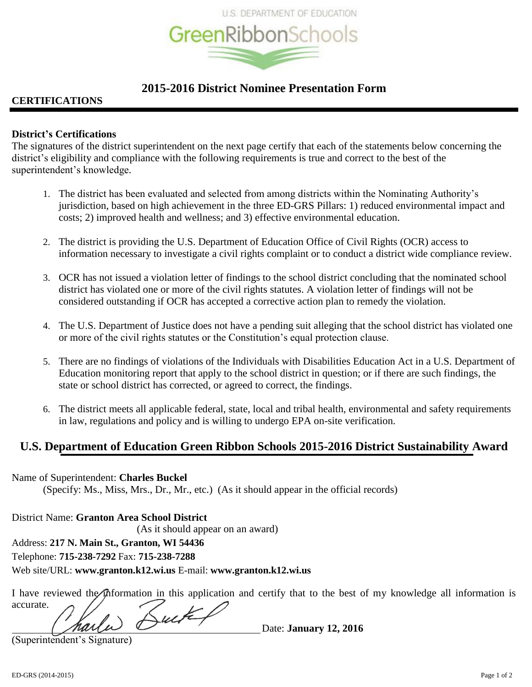

# **2015-2016 District Nominee Presentation Form**

# **CERTIFICATIONS**

### **District's Certifications**

The signatures of the district superintendent on the next page certify that each of the statements below concerning the district's eligibility and compliance with the following requirements is true and correct to the best of the superintendent's knowledge.

- 1. The district has been evaluated and selected from among districts within the Nominating Authority's jurisdiction, based on high achievement in the three ED-GRS Pillars: 1) reduced environmental impact and costs; 2) improved health and wellness; and 3) effective environmental education.
- 2. The district is providing the U.S. Department of Education Office of Civil Rights (OCR) access to information necessary to investigate a civil rights complaint or to conduct a district wide compliance review.
- 3. OCR has not issued a violation letter of findings to the school district concluding that the nominated school district has violated one or more of the civil rights statutes. A violation letter of findings will not be considered outstanding if OCR has accepted a corrective action plan to remedy the violation.
- 4. The U.S. Department of Justice does not have a pending suit alleging that the school district has violated one or more of the civil rights statutes or the Constitution's equal protection clause.
- 5. There are no findings of violations of the Individuals with Disabilities Education Act in a U.S. Department of Education monitoring report that apply to the school district in question; or if there are such findings, the state or school district has corrected, or agreed to correct, the findings.
- 6. The district meets all applicable federal, state, local and tribal health, environmental and safety requirements in law, regulations and policy and is willing to undergo EPA on-site verification.

# **U.S. Department of Education Green Ribbon Schools 2015-2016 District Sustainability Award**

Name of Superintendent: **Charles Buckel** (Specify: Ms., Miss, Mrs., Dr., Mr., etc.) (As it should appear in the official records)

District Name: **Granton Area School District** (As it should appear on an award) Address: **217 N. Main St., Granton, WI 54436** Telephone: **715-238-7292** Fax: **715-238-7288**

Web site/URL: **www.granton.k12.wi.us** E-mail: **www.granton.k12.wi.us**

I have reviewed the information in this application and certify that to the best of my knowledge all information is accurate.

Date: **January 12, 2016**

(Superintendent's Signature)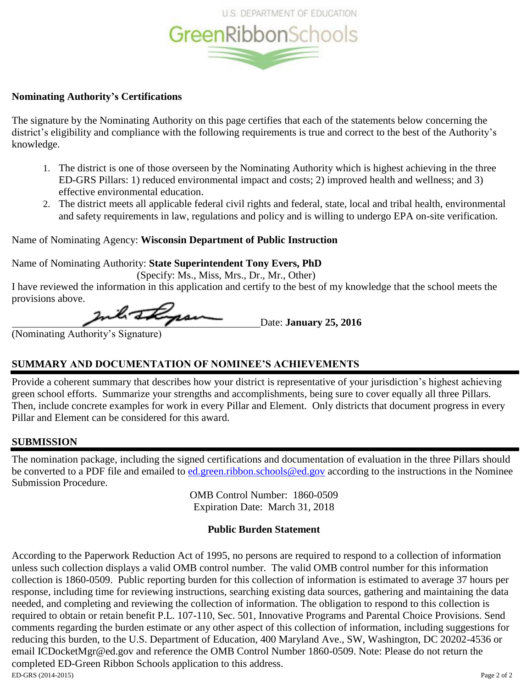

### **Nominating Authority's Certifications**

The signature by the Nominating Authority on this page certifies that each of the statements below concerning the district's eligibility and compliance with the following requirements is true and correct to the best of the Authority's knowledge.

- 1. The district is one of those overseen by the Nominating Authority which is highest achieving in the three ED-GRS Pillars: 1) reduced environmental impact and costs; 2) improved health and wellness; and 3) effective environmental education.
- 2. The district meets all applicable federal civil rights and federal, state, local and tribal health, environmental and safety requirements in law, regulations and policy and is willing to undergo EPA on-site verification.

### Name of Nominating Agency: **Wisconsin Department of Public Instruction**

Name of Nominating Authority: **State Superintendent Tony Evers, PhD**

(Specify: Ms., Miss, Mrs., Dr., Mr., Other)

I have reviewed the information in this application and certify to the best of my knowledge that the school meets the provisions above.

Inch Ingram Date: January 25, 2016

(Nominating Authority's Signature)

# **SUMMARY AND DOCUMENTATION OF NOMINEE'S ACHIEVEMENTS**

Provide a coherent summary that describes how your district is representative of your jurisdiction's highest achieving green school efforts. Summarize your strengths and accomplishments, being sure to cover equally all three Pillars. Then, include concrete examples for work in every Pillar and Element. Only districts that document progress in every Pillar and Element can be considered for this award.

# **SUBMISSION**

The nomination package, including the signed certifications and documentation of evaluation in the three Pillars should be converted to a PDF file and emailed to [ed.green.ribbon.schools@ed.gov](mailto:green.ribbon.schools@ed.gov) according to the instructions in the Nominee Submission Procedure.

> OMB Control Number: 1860-0509 Expiration Date: March 31, 2018

# **Public Burden Statement**

ED-GRS (2014-2015) Page 2 of 2 According to the Paperwork Reduction Act of 1995, no persons are required to respond to a collection of information unless such collection displays a valid OMB control number. The valid OMB control number for this information collection is 1860-0509. Public reporting burden for this collection of information is estimated to average 37 hours per response, including time for reviewing instructions, searching existing data sources, gathering and maintaining the data needed, and completing and reviewing the collection of information. The obligation to respond to this collection is required to obtain or retain benefit P.L. 107-110, Sec. 501, Innovative Programs and Parental Choice Provisions. Send comments regarding the burden estimate or any other aspect of this collection of information, including suggestions for reducing this burden, to the U.S. Department of Education, 400 Maryland Ave., SW, Washington, DC 20202-4536 or email ICDocketMgr@ed.gov and reference the OMB Control Number 1860-0509. Note: Please do not return the completed ED-Green Ribbon Schools application to this address.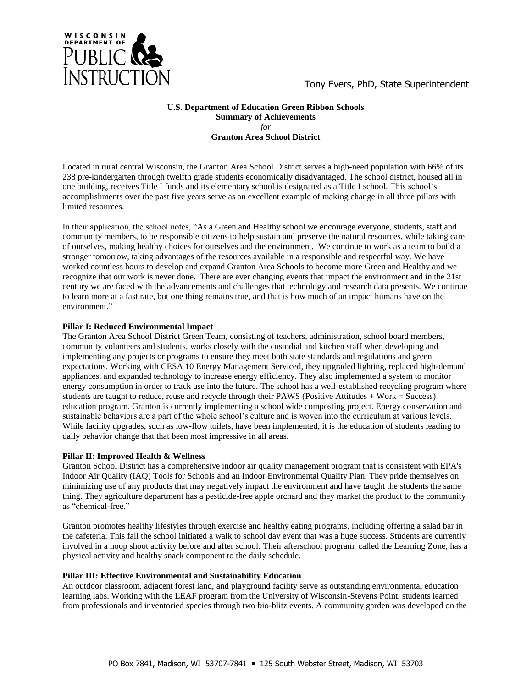

#### **U.S. Department of Education Green Ribbon Schools Summary of Achievements** *for* **Granton Area School District**

Located in rural central Wisconsin, the Granton Area School District serves a high-need population with 66% of its 238 pre-kindergarten through twelfth grade students economically disadvantaged. The school district, housed all in one building, receives Title I funds and its elementary school is designated as a Title I school. This school's accomplishments over the past five years serve as an excellent example of making change in all three pillars with limited resources.

In their application, the school notes, "As a Green and Healthy school we encourage everyone, students, staff and community members, to be responsible citizens to help sustain and preserve the natural resources, while taking care of ourselves, making healthy choices for ourselves and the environment. We continue to work as a team to build a stronger tomorrow, taking advantages of the resources available in a responsible and respectful way. We have worked countless hours to develop and expand Granton Area Schools to become more Green and Healthy and we recognize that our work is never done. There are ever changing events that impact the environment and in the 21st century we are faced with the advancements and challenges that technology and research data presents. We continue to learn more at a fast rate, but one thing remains true, and that is how much of an impact humans have on the environment."

### **Pillar I: Reduced Environmental Impact**

The Granton Area School District Green Team, consisting of teachers, administration, school board members, community volunteers and students, works closely with the custodial and kitchen staff when developing and implementing any projects or programs to ensure they meet both state standards and regulations and green expectations. Working with CESA 10 Energy Management Serviced, they upgraded lighting, replaced high-demand appliances, and expanded technology to increase energy efficiency. They also implemented a system to monitor energy consumption in order to track use into the future. The school has a well-established recycling program where students are taught to reduce, reuse and recycle through their PAWS (Positive Attitudes + Work = Success) education program. Granton is currently implementing a school wide composting project. Energy conservation and sustainable behaviors are a part of the whole school's culture and is woven into the curriculum at various levels. While facility upgrades, such as low-flow toilets, have been implemented, it is the education of students leading to daily behavior change that that been most impressive in all areas.

### **Pillar II: Improved Health & Wellness**

Granton School District has a comprehensive indoor air quality management program that is consistent with EPA's Indoor Air Quality (IAQ) Tools for Schools and an Indoor Environmental Quality Plan. They pride themselves on minimizing use of any products that may negatively impact the environment and have taught the students the same thing. They agriculture department has a pesticide-free apple orchard and they market the product to the community as "chemical-free."

Granton promotes healthy lifestyles through exercise and healthy eating programs, including offering a salad bar in the cafeteria. This fall the school initiated a walk to school day event that was a huge success. Students are currently involved in a hoop shoot activity before and after school. Their afterschool program, called the Learning Zone, has a physical activity and healthy snack component to the daily schedule.

### **Pillar III: Effective Environmental and Sustainability Education**

An outdoor classroom, adjacent forest land, and playground facility serve as outstanding environmental education learning labs. Working with the LEAF program from the University of Wisconsin-Stevens Point, students learned from professionals and inventoried species through two bio-blitz events. A community garden was developed on the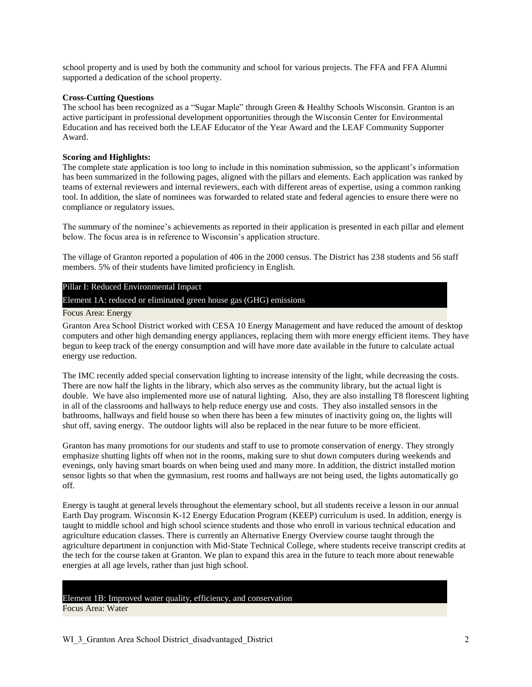school property and is used by both the community and school for various projects. The FFA and FFA Alumni supported a dedication of the school property.

#### **Cross-Cutting Questions**

The school has been recognized as a "Sugar Maple" through Green & Healthy Schools Wisconsin. Granton is an active participant in professional development opportunities through the Wisconsin Center for Environmental Education and has received both the LEAF Educator of the Year Award and the LEAF Community Supporter Award.

#### **Scoring and Highlights:**

The complete state application is too long to include in this nomination submission, so the applicant's information has been summarized in the following pages, aligned with the pillars and elements. Each application was ranked by teams of external reviewers and internal reviewers, each with different areas of expertise, using a common ranking tool. In addition, the slate of nominees was forwarded to related state and federal agencies to ensure there were no compliance or regulatory issues.

The summary of the nominee's achievements as reported in their application is presented in each pillar and element below. The focus area is in reference to Wisconsin's application structure.

The village of Granton reported a population of 406 in the 2000 census. The District has 238 students and 56 staff members. 5% of their students have limited proficiency in English.

#### Pillar I: Reduced Environmental Impact

Element 1A: reduced or eliminated green house gas (GHG) emissions

#### Focus Area: Energy

Granton Area School District worked with CESA 10 Energy Management and have reduced the amount of desktop computers and other high demanding energy appliances, replacing them with more energy efficient items. They have begun to keep track of the energy consumption and will have more date available in the future to calculate actual energy use reduction.

The IMC recently added special conservation lighting to increase intensity of the light, while decreasing the costs. There are now half the lights in the library, which also serves as the community library, but the actual light is double. We have also implemented more use of natural lighting. Also, they are also installing T8 florescent lighting in all of the classrooms and hallways to help reduce energy use and costs. They also installed sensors in the bathrooms, hallways and field house so when there has been a few minutes of inactivity going on, the lights will shut off, saving energy. The outdoor lights will also be replaced in the near future to be more efficient.

Granton has many promotions for our students and staff to use to promote conservation of energy. They strongly emphasize shutting lights off when not in the rooms, making sure to shut down computers during weekends and evenings, only having smart boards on when being used and many more. In addition, the district installed motion sensor lights so that when the gymnasium, rest rooms and hallways are not being used, the lights automatically go off.

Energy is taught at general levels throughout the elementary school, but all students receive a lesson in our annual Earth Day program. Wisconsin K-12 Energy Education Program (KEEP) curriculum is used. In addition, energy is taught to middle school and high school science students and those who enroll in various technical education and agriculture education classes. There is currently an Alternative Energy Overview course taught through the agriculture department in conjunction with Mid-State Technical College, where students receive transcript credits at the tech for the course taken at Granton. We plan to expand this area in the future to teach more about renewable energies at all age levels, rather than just high school.

# Element 1B: Improved water quality, efficiency, and conservation

Focus Area: Water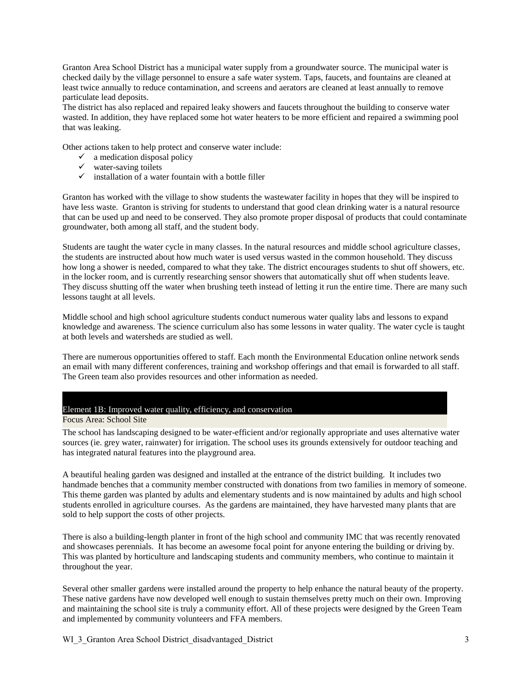Granton Area School District has a municipal water supply from a groundwater source. The municipal water is checked daily by the village personnel to ensure a safe water system. Taps, faucets, and fountains are cleaned at least twice annually to reduce contamination, and screens and aerators are cleaned at least annually to remove particulate lead deposits.

The district has also replaced and repaired leaky showers and faucets throughout the building to conserve water wasted. In addition, they have replaced some hot water heaters to be more efficient and repaired a swimming pool that was leaking.

Other actions taken to help protect and conserve water include:

- $\checkmark$  a medication disposal policy
- $\checkmark$  water-saving toilets
- $\checkmark$  installation of a water fountain with a bottle filler

Granton has worked with the village to show students the wastewater facility in hopes that they will be inspired to have less waste. Granton is striving for students to understand that good clean drinking water is a natural resource that can be used up and need to be conserved. They also promote proper disposal of products that could contaminate groundwater, both among all staff, and the student body.

Students are taught the water cycle in many classes. In the natural resources and middle school agriculture classes, the students are instructed about how much water is used versus wasted in the common household. They discuss how long a shower is needed, compared to what they take. The district encourages students to shut off showers, etc. in the locker room, and is currently researching sensor showers that automatically shut off when students leave. They discuss shutting off the water when brushing teeth instead of letting it run the entire time. There are many such lessons taught at all levels.

Middle school and high school agriculture students conduct numerous water quality labs and lessons to expand knowledge and awareness. The science curriculum also has some lessons in water quality. The water cycle is taught at both levels and watersheds are studied as well.

There are numerous opportunities offered to staff. Each month the Environmental Education online network sends an email with many different conferences, training and workshop offerings and that email is forwarded to all staff. The Green team also provides resources and other information as needed.

### Element 1B: Improved water quality, efficiency, and conservation

Focus Area: School Site

The school has landscaping designed to be water-efficient and/or regionally appropriate and uses alternative water sources (ie. grey water, rainwater) for irrigation. The school uses its grounds extensively for outdoor teaching and has integrated natural features into the playground area.

A beautiful healing garden was designed and installed at the entrance of the district building. It includes two handmade benches that a community member constructed with donations from two families in memory of someone. This theme garden was planted by adults and elementary students and is now maintained by adults and high school students enrolled in agriculture courses. As the gardens are maintained, they have harvested many plants that are sold to help support the costs of other projects.

There is also a building-length planter in front of the high school and community IMC that was recently renovated and showcases perennials. It has become an awesome focal point for anyone entering the building or driving by. This was planted by horticulture and landscaping students and community members, who continue to maintain it throughout the year.

Several other smaller gardens were installed around the property to help enhance the natural beauty of the property. These native gardens have now developed well enough to sustain themselves pretty much on their own. Improving and maintaining the school site is truly a community effort. All of these projects were designed by the Green Team and implemented by community volunteers and FFA members.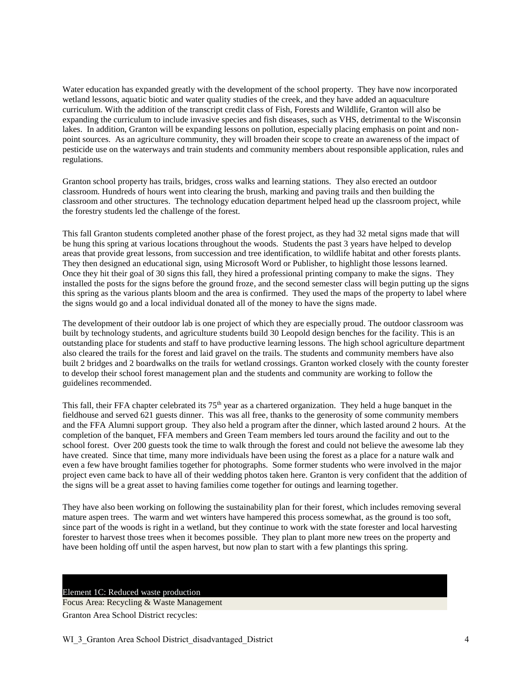Water education has expanded greatly with the development of the school property. They have now incorporated wetland lessons, aquatic biotic and water quality studies of the creek, and they have added an aquaculture curriculum. With the addition of the transcript credit class of Fish, Forests and Wildlife, Granton will also be expanding the curriculum to include invasive species and fish diseases, such as VHS, detrimental to the Wisconsin lakes. In addition, Granton will be expanding lessons on pollution, especially placing emphasis on point and nonpoint sources. As an agriculture community, they will broaden their scope to create an awareness of the impact of pesticide use on the waterways and train students and community members about responsible application, rules and regulations.

Granton school property has trails, bridges, cross walks and learning stations. They also erected an outdoor classroom. Hundreds of hours went into clearing the brush, marking and paving trails and then building the classroom and other structures. The technology education department helped head up the classroom project, while the forestry students led the challenge of the forest.

This fall Granton students completed another phase of the forest project, as they had 32 metal signs made that will be hung this spring at various locations throughout the woods. Students the past 3 years have helped to develop areas that provide great lessons, from succession and tree identification, to wildlife habitat and other forests plants. They then designed an educational sign, using Microsoft Word or Publisher, to highlight those lessons learned. Once they hit their goal of 30 signs this fall, they hired a professional printing company to make the signs. They installed the posts for the signs before the ground froze, and the second semester class will begin putting up the signs this spring as the various plants bloom and the area is confirmed. They used the maps of the property to label where the signs would go and a local individual donated all of the money to have the signs made.

The development of their outdoor lab is one project of which they are especially proud. The outdoor classroom was built by technology students, and agriculture students build 30 Leopold design benches for the facility. This is an outstanding place for students and staff to have productive learning lessons. The high school agriculture department also cleared the trails for the forest and laid gravel on the trails. The students and community members have also built 2 bridges and 2 boardwalks on the trails for wetland crossings. Granton worked closely with the county forester to develop their school forest management plan and the students and community are working to follow the guidelines recommended.

This fall, their FFA chapter celebrated its  $75<sup>th</sup>$  year as a chartered organization. They held a huge banquet in the fieldhouse and served 621 guests dinner. This was all free, thanks to the generosity of some community members and the FFA Alumni support group. They also held a program after the dinner, which lasted around 2 hours. At the completion of the banquet, FFA members and Green Team members led tours around the facility and out to the school forest. Over 200 guests took the time to walk through the forest and could not believe the awesome lab they have created. Since that time, many more individuals have been using the forest as a place for a nature walk and even a few have brought families together for photographs. Some former students who were involved in the major project even came back to have all of their wedding photos taken here. Granton is very confident that the addition of the signs will be a great asset to having families come together for outings and learning together.

They have also been working on following the sustainability plan for their forest, which includes removing several mature aspen trees. The warm and wet winters have hampered this process somewhat, as the ground is too soft, since part of the woods is right in a wetland, but they continue to work with the state forester and local harvesting forester to harvest those trees when it becomes possible. They plan to plant more new trees on the property and have been holding off until the aspen harvest, but now plan to start with a few plantings this spring.

#### Element 1C: Reduced waste production

Focus Area: Recycling & Waste Management

Granton Area School District recycles: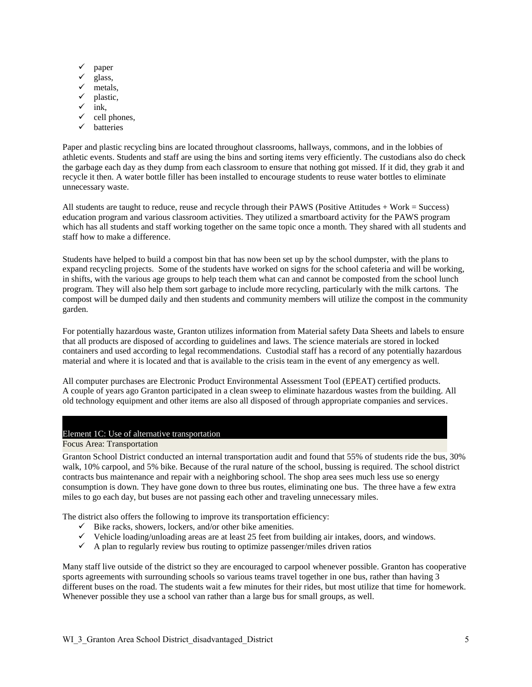- $\checkmark$  paper
- glass,
- metals,
- $\checkmark$  plastic,<br> $\checkmark$  ink
- ink,
- $\checkmark$  cell phones,
- $\checkmark$  batteries

Paper and plastic recycling bins are located throughout classrooms, hallways, commons, and in the lobbies of athletic events. Students and staff are using the bins and sorting items very efficiently. The custodians also do check the garbage each day as they dump from each classroom to ensure that nothing got missed. If it did, they grab it and recycle it then. A water bottle filler has been installed to encourage students to reuse water bottles to eliminate unnecessary waste.

All students are taught to reduce, reuse and recycle through their PAWS (Positive Attitudes + Work = Success) education program and various classroom activities. They utilized a smartboard activity for the PAWS program which has all students and staff working together on the same topic once a month. They shared with all students and staff how to make a difference.

Students have helped to build a compost bin that has now been set up by the school dumpster, with the plans to expand recycling projects. Some of the students have worked on signs for the school cafeteria and will be working, in shifts, with the various age groups to help teach them what can and cannot be composted from the school lunch program. They will also help them sort garbage to include more recycling, particularly with the milk cartons. The compost will be dumped daily and then students and community members will utilize the compost in the community garden.

For potentially hazardous waste, Granton utilizes information from Material safety Data Sheets and labels to ensure that all products are disposed of according to guidelines and laws. The science materials are stored in locked containers and used according to legal recommendations. Custodial staff has a record of any potentially hazardous material and where it is located and that is available to the crisis team in the event of any emergency as well.

All computer purchases are Electronic Product Environmental Assessment Tool (EPEAT) certified products. A couple of years ago Granton participated in a clean sweep to eliminate hazardous wastes from the building. All old technology equipment and other items are also all disposed of through appropriate companies and services.

#### Element 1C: Use of alternative transportation

#### Focus Area: Transportation

Granton School District conducted an internal transportation audit and found that 55% of students ride the bus, 30% walk, 10% carpool, and 5% bike. Because of the rural nature of the school, bussing is required. The school district contracts bus maintenance and repair with a neighboring school. The shop area sees much less use so energy consumption is down. They have gone down to three bus routes, eliminating one bus. The three have a few extra miles to go each day, but buses are not passing each other and traveling unnecessary miles.

The district also offers the following to improve its transportation efficiency:

- $\checkmark$  Bike racks, showers, lockers, and/or other bike amenities.
- $\checkmark$  Vehicle loading/unloading areas are at least 25 feet from building air intakes, doors, and windows.
- $\checkmark$  A plan to regularly review bus routing to optimize passenger/miles driven ratios

Many staff live outside of the district so they are encouraged to carpool whenever possible. Granton has cooperative sports agreements with surrounding schools so various teams travel together in one bus, rather than having 3 different buses on the road. The students wait a few minutes for their rides, but most utilize that time for homework. Whenever possible they use a school van rather than a large bus for small groups, as well.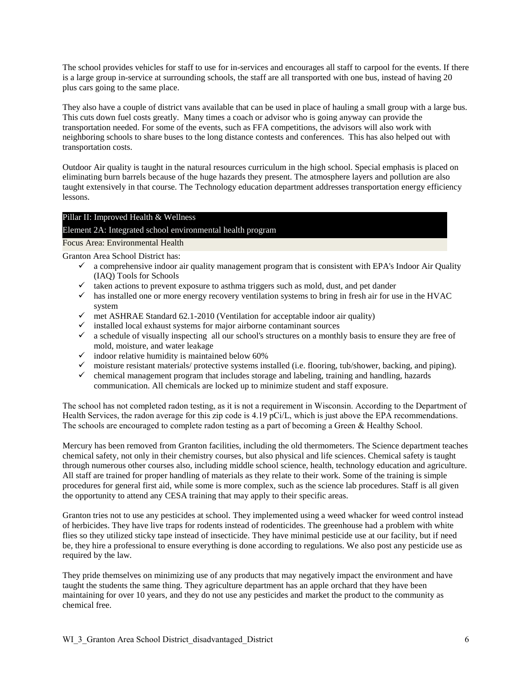The school provides vehicles for staff to use for in-services and encourages all staff to carpool for the events. If there is a large group in-service at surrounding schools, the staff are all transported with one bus, instead of having 20 plus cars going to the same place.

They also have a couple of district vans available that can be used in place of hauling a small group with a large bus. This cuts down fuel costs greatly. Many times a coach or advisor who is going anyway can provide the transportation needed. For some of the events, such as FFA competitions, the advisors will also work with neighboring schools to share buses to the long distance contests and conferences. This has also helped out with transportation costs.

Outdoor Air quality is taught in the natural resources curriculum in the high school. Special emphasis is placed on eliminating burn barrels because of the huge hazards they present. The atmosphere layers and pollution are also taught extensively in that course. The Technology education department addresses transportation energy efficiency lessons.

### Pillar II: Improved Health & Wellness

### Element 2A: Integrated school environmental health program

Focus Area: Environmental Health

Granton Area School District has:

- $\checkmark$  a comprehensive indoor air quality management program that is consistent with EPA's Indoor Air Quality (IAQ) Tools for Schools
- $\checkmark$  taken actions to prevent exposure to asthma triggers such as mold, dust, and pet dander
- $\checkmark$  has installed one or more energy recovery ventilation systems to bring in fresh air for use in the HVAC system
- $\checkmark$  met ASHRAE Standard 62.1-2010 (Ventilation for acceptable indoor air quality)
- $\checkmark$  installed local exhaust systems for major airborne contaminant sources
- $\checkmark$  a schedule of visually inspecting all our school's structures on a monthly basis to ensure they are free of mold, moisture, and water leakage
- $\checkmark$  indoor relative humidity is maintained below 60%
- $\checkmark$  moisture resistant materials/ protective systems installed (i.e. flooring, tub/shower, backing, and piping).
- $\checkmark$  chemical management program that includes storage and labeling, training and handling, hazards communication. All chemicals are locked up to minimize student and staff exposure.

The school has not completed radon testing, as it is not a requirement in Wisconsin. According to the Department of Health Services, the radon average for this zip code is 4.19 pCi/L, which is just above the EPA recommendations. The schools are encouraged to complete radon testing as a part of becoming a Green & Healthy School.

Mercury has been removed from Granton facilities, including the old thermometers. The Science department teaches chemical safety, not only in their chemistry courses, but also physical and life sciences. Chemical safety is taught through numerous other courses also, including middle school science, health, technology education and agriculture. All staff are trained for proper handling of materials as they relate to their work. Some of the training is simple procedures for general first aid, while some is more complex, such as the science lab procedures. Staff is all given the opportunity to attend any CESA training that may apply to their specific areas.

Granton tries not to use any pesticides at school. They implemented using a weed whacker for weed control instead of herbicides. They have live traps for rodents instead of rodenticides. The greenhouse had a problem with white flies so they utilized sticky tape instead of insecticide. They have minimal pesticide use at our facility, but if need be, they hire a professional to ensure everything is done according to regulations. We also post any pesticide use as required by the law.

They pride themselves on minimizing use of any products that may negatively impact the environment and have taught the students the same thing. They agriculture department has an apple orchard that they have been maintaining for over 10 years, and they do not use any pesticides and market the product to the community as chemical free.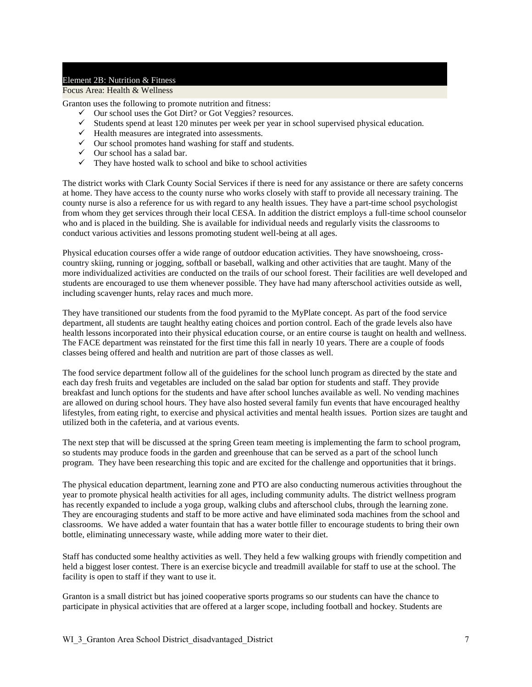#### Element 2B: Nutrition & Fitness

#### Focus Area: Health & Wellness

Granton uses the following to promote nutrition and fitness:

- $\checkmark$  Our school uses the Got Dirt? or Got Veggies? resources.
- $\checkmark$  Students spend at least 120 minutes per week per year in school supervised physical education.
- $\checkmark$  Health measures are integrated into assessments.
- $\checkmark$  Our school promotes hand washing for staff and students.
- $\checkmark$  Our school has a salad bar.
- $\checkmark$  They have hosted walk to school and bike to school activities

The district works with Clark County Social Services if there is need for any assistance or there are safety concerns at home. They have access to the county nurse who works closely with staff to provide all necessary training. The county nurse is also a reference for us with regard to any health issues. They have a part-time school psychologist from whom they get services through their local CESA. In addition the district employs a full-time school counselor who and is placed in the building. She is available for individual needs and regularly visits the classrooms to conduct various activities and lessons promoting student well-being at all ages.

Physical education courses offer a wide range of outdoor education activities. They have snowshoeing, crosscountry skiing, running or jogging, softball or baseball, walking and other activities that are taught. Many of the more individualized activities are conducted on the trails of our school forest. Their facilities are well developed and students are encouraged to use them whenever possible. They have had many afterschool activities outside as well, including scavenger hunts, relay races and much more.

They have transitioned our students from the food pyramid to the MyPlate concept. As part of the food service department, all students are taught healthy eating choices and portion control. Each of the grade levels also have health lessons incorporated into their physical education course, or an entire course is taught on health and wellness. The FACE department was reinstated for the first time this fall in nearly 10 years. There are a couple of foods classes being offered and health and nutrition are part of those classes as well.

The food service department follow all of the guidelines for the school lunch program as directed by the state and each day fresh fruits and vegetables are included on the salad bar option for students and staff. They provide breakfast and lunch options for the students and have after school lunches available as well. No vending machines are allowed on during school hours. They have also hosted several family fun events that have encouraged healthy lifestyles, from eating right, to exercise and physical activities and mental health issues. Portion sizes are taught and utilized both in the cafeteria, and at various events.

The next step that will be discussed at the spring Green team meeting is implementing the farm to school program, so students may produce foods in the garden and greenhouse that can be served as a part of the school lunch program. They have been researching this topic and are excited for the challenge and opportunities that it brings.

The physical education department, learning zone and PTO are also conducting numerous activities throughout the year to promote physical health activities for all ages, including community adults. The district wellness program has recently expanded to include a yoga group, walking clubs and afterschool clubs, through the learning zone. They are encouraging students and staff to be more active and have eliminated soda machines from the school and classrooms. We have added a water fountain that has a water bottle filler to encourage students to bring their own bottle, eliminating unnecessary waste, while adding more water to their diet.

Staff has conducted some healthy activities as well. They held a few walking groups with friendly competition and held a biggest loser contest. There is an exercise bicycle and treadmill available for staff to use at the school. The facility is open to staff if they want to use it.

Granton is a small district but has joined cooperative sports programs so our students can have the chance to participate in physical activities that are offered at a larger scope, including football and hockey. Students are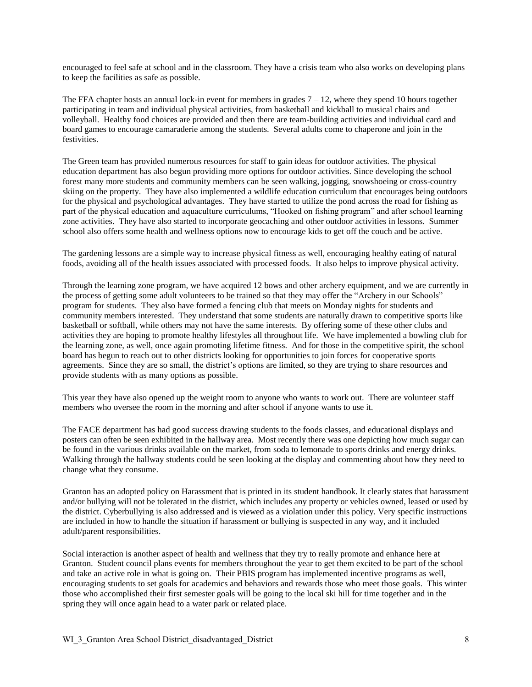encouraged to feel safe at school and in the classroom. They have a crisis team who also works on developing plans to keep the facilities as safe as possible.

The FFA chapter hosts an annual lock-in event for members in grades  $7 - 12$ , where they spend 10 hours together participating in team and individual physical activities, from basketball and kickball to musical chairs and volleyball. Healthy food choices are provided and then there are team-building activities and individual card and board games to encourage camaraderie among the students. Several adults come to chaperone and join in the festivities.

The Green team has provided numerous resources for staff to gain ideas for outdoor activities. The physical education department has also begun providing more options for outdoor activities. Since developing the school forest many more students and community members can be seen walking, jogging, snowshoeing or cross-country skiing on the property. They have also implemented a wildlife education curriculum that encourages being outdoors for the physical and psychological advantages. They have started to utilize the pond across the road for fishing as part of the physical education and aquaculture curriculums, "Hooked on fishing program" and after school learning zone activities. They have also started to incorporate geocaching and other outdoor activities in lessons. Summer school also offers some health and wellness options now to encourage kids to get off the couch and be active.

The gardening lessons are a simple way to increase physical fitness as well, encouraging healthy eating of natural foods, avoiding all of the health issues associated with processed foods. It also helps to improve physical activity.

Through the learning zone program, we have acquired 12 bows and other archery equipment, and we are currently in the process of getting some adult volunteers to be trained so that they may offer the "Archery in our Schools" program for students. They also have formed a fencing club that meets on Monday nights for students and community members interested. They understand that some students are naturally drawn to competitive sports like basketball or softball, while others may not have the same interests. By offering some of these other clubs and activities they are hoping to promote healthy lifestyles all throughout life. We have implemented a bowling club for the learning zone, as well, once again promoting lifetime fitness. And for those in the competitive spirit, the school board has begun to reach out to other districts looking for opportunities to join forces for cooperative sports agreements. Since they are so small, the district's options are limited, so they are trying to share resources and provide students with as many options as possible.

This year they have also opened up the weight room to anyone who wants to work out. There are volunteer staff members who oversee the room in the morning and after school if anyone wants to use it.

The FACE department has had good success drawing students to the foods classes, and educational displays and posters can often be seen exhibited in the hallway area. Most recently there was one depicting how much sugar can be found in the various drinks available on the market, from soda to lemonade to sports drinks and energy drinks. Walking through the hallway students could be seen looking at the display and commenting about how they need to change what they consume.

Granton has an adopted policy on Harassment that is printed in its student handbook. It clearly states that harassment and/or bullying will not be tolerated in the district, which includes any property or vehicles owned, leased or used by the district. Cyberbullying is also addressed and is viewed as a violation under this policy. Very specific instructions are included in how to handle the situation if harassment or bullying is suspected in any way, and it included adult/parent responsibilities.

Social interaction is another aspect of health and wellness that they try to really promote and enhance here at Granton. Student council plans events for members throughout the year to get them excited to be part of the school and take an active role in what is going on. Their PBIS program has implemented incentive programs as well, encouraging students to set goals for academics and behaviors and rewards those who meet those goals. This winter those who accomplished their first semester goals will be going to the local ski hill for time together and in the spring they will once again head to a water park or related place.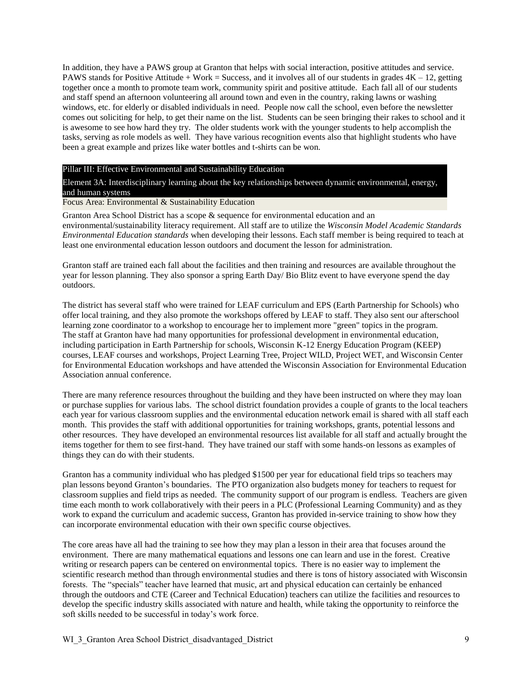In addition, they have a PAWS group at Granton that helps with social interaction, positive attitudes and service. PAWS stands for Positive Attitude + Work = Success, and it involves all of our students in grades  $4K - 12$ , getting together once a month to promote team work, community spirit and positive attitude. Each fall all of our students and staff spend an afternoon volunteering all around town and even in the country, raking lawns or washing windows, etc. for elderly or disabled individuals in need. People now call the school, even before the newsletter comes out soliciting for help, to get their name on the list. Students can be seen bringing their rakes to school and it is awesome to see how hard they try. The older students work with the younger students to help accomplish the tasks, serving as role models as well. They have various recognition events also that highlight students who have been a great example and prizes like water bottles and t-shirts can be won.

#### Pillar III: Effective Environmental and Sustainability Education

Element 3A: Interdisciplinary learning about the key relationships between dynamic environmental, energy, and human systems

#### Focus Area: Environmental & Sustainability Education

Granton Area School District has a scope & sequence for environmental education and an environmental/sustainability literacy requirement. All staff are to utilize the *Wisconsin Model Academic Standards Environmental Education standards* when developing their lessons. Each staff member is being required to teach at least one environmental education lesson outdoors and document the lesson for administration.

Granton staff are trained each fall about the facilities and then training and resources are available throughout the year for lesson planning. They also sponsor a spring Earth Day/ Bio Blitz event to have everyone spend the day outdoors.

The district has several staff who were trained for LEAF curriculum and EPS (Earth Partnership for Schools) who offer local training, and they also promote the workshops offered by LEAF to staff. They also sent our afterschool learning zone coordinator to a workshop to encourage her to implement more "green" topics in the program. The staff at Granton have had many opportunities for professional development in environmental education, including participation in Earth Partnership for schools, Wisconsin K-12 Energy Education Program (KEEP) courses, LEAF courses and workshops, Project Learning Tree, Project WILD, Project WET, and Wisconsin Center for Environmental Education workshops and have attended the Wisconsin Association for Environmental Education Association annual conference.

There are many reference resources throughout the building and they have been instructed on where they may loan or purchase supplies for various labs. The school district foundation provides a couple of grants to the local teachers each year for various classroom supplies and the environmental education network email is shared with all staff each month. This provides the staff with additional opportunities for training workshops, grants, potential lessons and other resources. They have developed an environmental resources list available for all staff and actually brought the items together for them to see first-hand. They have trained our staff with some hands-on lessons as examples of things they can do with their students.

Granton has a community individual who has pledged \$1500 per year for educational field trips so teachers may plan lessons beyond Granton's boundaries. The PTO organization also budgets money for teachers to request for classroom supplies and field trips as needed. The community support of our program is endless. Teachers are given time each month to work collaboratively with their peers in a PLC (Professional Learning Community) and as they work to expand the curriculum and academic success, Granton has provided in-service training to show how they can incorporate environmental education with their own specific course objectives.

The core areas have all had the training to see how they may plan a lesson in their area that focuses around the environment. There are many mathematical equations and lessons one can learn and use in the forest. Creative writing or research papers can be centered on environmental topics. There is no easier way to implement the scientific research method than through environmental studies and there is tons of history associated with Wisconsin forests. The "specials" teacher have learned that music, art and physical education can certainly be enhanced through the outdoors and CTE (Career and Technical Education) teachers can utilize the facilities and resources to develop the specific industry skills associated with nature and health, while taking the opportunity to reinforce the soft skills needed to be successful in today's work force.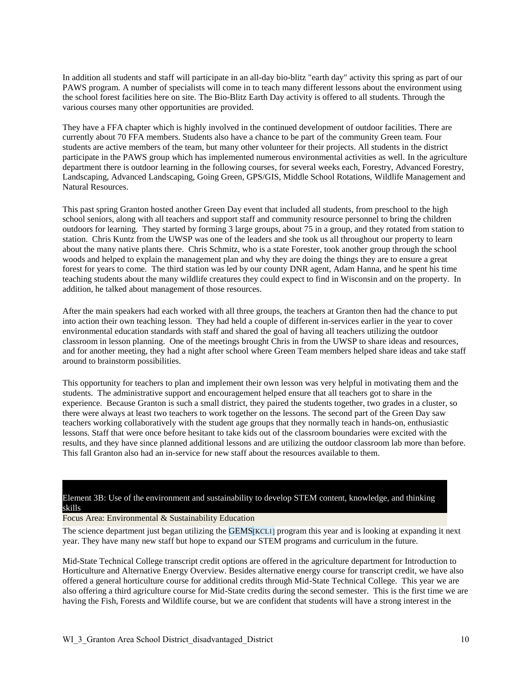In addition all students and staff will participate in an all-day bio-blitz "earth day" activity this spring as part of our PAWS program. A number of specialists will come in to teach many different lessons about the environment using the school forest facilities here on site. The Bio-Blitz Earth Day activity is offered to all students. Through the various courses many other opportunities are provided.

They have a FFA chapter which is highly involved in the continued development of outdoor facilities. There are currently about 70 FFA members. Students also have a chance to be part of the community Green team. Four students are active members of the team, but many other volunteer for their projects. All students in the district participate in the PAWS group which has implemented numerous environmental activities as well. In the agriculture department there is outdoor learning in the following courses, for several weeks each, Forestry, Advanced Forestry, Landscaping, Advanced Landscaping, Going Green, GPS/GIS, Middle School Rotations, Wildlife Management and Natural Resources.

This past spring Granton hosted another Green Day event that included all students, from preschool to the high school seniors, along with all teachers and support staff and community resource personnel to bring the children outdoors for learning. They started by forming 3 large groups, about 75 in a group, and they rotated from station to station. Chris Kuntz from the UWSP was one of the leaders and she took us all throughout our property to learn about the many native plants there. Chris Schmitz, who is a state Forester, took another group through the school woods and helped to explain the management plan and why they are doing the things they are to ensure a great forest for years to come. The third station was led by our county DNR agent, Adam Hanna, and he spent his time teaching students about the many wildlife creatures they could expect to find in Wisconsin and on the property. In addition, he talked about management of those resources.

After the main speakers had each worked with all three groups, the teachers at Granton then had the chance to put into action their own teaching lesson. They had held a couple of different in-services earlier in the year to cover environmental education standards with staff and shared the goal of having all teachers utilizing the outdoor classroom in lesson planning. One of the meetings brought Chris in from the UWSP to share ideas and resources, and for another meeting, they had a night after school where Green Team members helped share ideas and take staff around to brainstorm possibilities.

This opportunity for teachers to plan and implement their own lesson was very helpful in motivating them and the students. The administrative support and encouragement helped ensure that all teachers got to share in the experience. Because Granton is such a small district, they paired the students together, two grades in a cluster, so there were always at least two teachers to work together on the lessons. The second part of the Green Day saw teachers working collaboratively with the student age groups that they normally teach in hands-on, enthusiastic lessons. Staff that were once before hesitant to take kids out of the classroom boundaries were excited with the results, and they have since planned additional lessons and are utilizing the outdoor classroom lab more than before. This fall Granton also had an in-service for new staff about the resources available to them.

#### Element 3B: Use of the environment and sustainability to develop STEM content, knowledge, and thinking skills

Focus Area: Environmental & Sustainability Education

The science department just began utilizing the GEMS[KCL1] program this year and is looking at expanding it next year. They have many new staff but hope to expand our STEM programs and curriculum in the future.

Mid-State Technical College transcript credit options are offered in the agriculture department for Introduction to Horticulture and Alternative Energy Overview. Besides alternative energy course for transcript credit, we have also offered a general horticulture course for additional credits through Mid-State Technical College. This year we are also offering a third agriculture course for Mid-State credits during the second semester. This is the first time we are having the Fish, Forests and Wildlife course, but we are confident that students will have a strong interest in the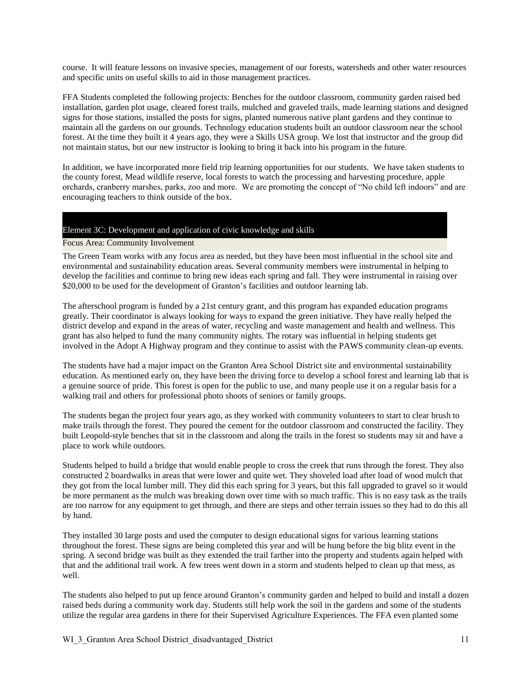course. It will feature lessons on invasive species, management of our forests, watersheds and other water resources and specific units on useful skills to aid in those management practices.

FFA Students completed the following projects: Benches for the outdoor classroom, community garden raised bed installation, garden plot usage, cleared forest trails, mulched and graveled trails, made learning stations and designed signs for those stations, installed the posts for signs, planted numerous native plant gardens and they continue to maintain all the gardens on our grounds. Technology education students built an outdoor classroom near the school forest. At the time they built it 4 years ago, they were a Skills USA group. We lost that instructor and the group did not maintain status, but our new instructor is looking to bring it back into his program in the future.

In addition, we have incorporated more field trip learning opportunities for our students. We have taken students to the county forest, Mead wildlife reserve, local forests to watch the processing and harvesting procedure, apple orchards, cranberry marshes, parks, zoo and more. We are promoting the concept of "No child left indoors" and are encouraging teachers to think outside of the box.

#### Element 3C: Development and application of civic knowledge and skills

Focus Area: Community Involvement

The Green Team works with any focus area as needed, but they have been most influential in the school site and environmental and sustainability education areas. Several community members were instrumental in helping to develop the facilities and continue to bring new ideas each spring and fall. They were instrumental in raising over \$20,000 to be used for the development of Granton's facilities and outdoor learning lab.

The afterschool program is funded by a 21st century grant, and this program has expanded education programs greatly. Their coordinator is always looking for ways to expand the green initiative. They have really helped the district develop and expand in the areas of water, recycling and waste management and health and wellness. This grant has also helped to fund the many community nights. The rotary was influential in helping students get involved in the Adopt A Highway program and they continue to assist with the PAWS community clean-up events.

The students have had a major impact on the Granton Area School District site and environmental sustainability education. As mentioned early on, they have been the driving force to develop a school forest and learning lab that is a genuine source of pride. This forest is open for the public to use, and many people use it on a regular basis for a walking trail and others for professional photo shoots of seniors or family groups.

The students began the project four years ago, as they worked with community volunteers to start to clear brush to make trails through the forest. They poured the cement for the outdoor classroom and constructed the facility. They built Leopold-style benches that sit in the classroom and along the trails in the forest so students may sit and have a place to work while outdoors.

Students helped to build a bridge that would enable people to cross the creek that runs through the forest. They also constructed 2 boardwalks in areas that were lower and quite wet. They shoveled load after load of wood mulch that they got from the local lumber mill. They did this each spring for 3 years, but this fall upgraded to gravel so it would be more permanent as the mulch was breaking down over time with so much traffic. This is no easy task as the trails are too narrow for any equipment to get through, and there are steps and other terrain issues so they had to do this all by hand.

They installed 30 large posts and used the computer to design educational signs for various learning stations throughout the forest. These signs are being completed this year and will be hung before the big blitz event in the spring. A second bridge was built as they extended the trail farther into the property and students again helped with that and the additional trail work. A few trees went down in a storm and students helped to clean up that mess, as well.

The students also helped to put up fence around Granton's community garden and helped to build and install a dozen raised beds during a community work day. Students still help work the soil in the gardens and some of the students utilize the regular area gardens in there for their Supervised Agriculture Experiences. The FFA even planted some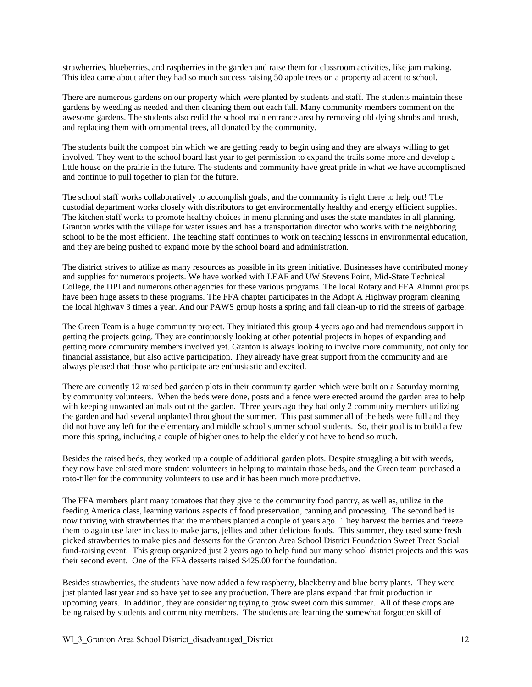strawberries, blueberries, and raspberries in the garden and raise them for classroom activities, like jam making. This idea came about after they had so much success raising 50 apple trees on a property adjacent to school.

There are numerous gardens on our property which were planted by students and staff. The students maintain these gardens by weeding as needed and then cleaning them out each fall. Many community members comment on the awesome gardens. The students also redid the school main entrance area by removing old dying shrubs and brush, and replacing them with ornamental trees, all donated by the community.

The students built the compost bin which we are getting ready to begin using and they are always willing to get involved. They went to the school board last year to get permission to expand the trails some more and develop a little house on the prairie in the future. The students and community have great pride in what we have accomplished and continue to pull together to plan for the future.

The school staff works collaboratively to accomplish goals, and the community is right there to help out! The custodial department works closely with distributors to get environmentally healthy and energy efficient supplies. The kitchen staff works to promote healthy choices in menu planning and uses the state mandates in all planning. Granton works with the village for water issues and has a transportation director who works with the neighboring school to be the most efficient. The teaching staff continues to work on teaching lessons in environmental education, and they are being pushed to expand more by the school board and administration.

The district strives to utilize as many resources as possible in its green initiative. Businesses have contributed money and supplies for numerous projects. We have worked with LEAF and UW Stevens Point, Mid-State Technical College, the DPI and numerous other agencies for these various programs. The local Rotary and FFA Alumni groups have been huge assets to these programs. The FFA chapter participates in the Adopt A Highway program cleaning the local highway 3 times a year. And our PAWS group hosts a spring and fall clean-up to rid the streets of garbage.

The Green Team is a huge community project. They initiated this group 4 years ago and had tremendous support in getting the projects going. They are continuously looking at other potential projects in hopes of expanding and getting more community members involved yet. Granton is always looking to involve more community, not only for financial assistance, but also active participation. They already have great support from the community and are always pleased that those who participate are enthusiastic and excited.

There are currently 12 raised bed garden plots in their community garden which were built on a Saturday morning by community volunteers. When the beds were done, posts and a fence were erected around the garden area to help with keeping unwanted animals out of the garden. Three years ago they had only 2 community members utilizing the garden and had several unplanted throughout the summer. This past summer all of the beds were full and they did not have any left for the elementary and middle school summer school students. So, their goal is to build a few more this spring, including a couple of higher ones to help the elderly not have to bend so much.

Besides the raised beds, they worked up a couple of additional garden plots. Despite struggling a bit with weeds, they now have enlisted more student volunteers in helping to maintain those beds, and the Green team purchased a roto-tiller for the community volunteers to use and it has been much more productive.

The FFA members plant many tomatoes that they give to the community food pantry, as well as, utilize in the feeding America class, learning various aspects of food preservation, canning and processing. The second bed is now thriving with strawberries that the members planted a couple of years ago. They harvest the berries and freeze them to again use later in class to make jams, jellies and other delicious foods. This summer, they used some fresh picked strawberries to make pies and desserts for the Granton Area School District Foundation Sweet Treat Social fund-raising event. This group organized just 2 years ago to help fund our many school district projects and this was their second event. One of the FFA desserts raised \$425.00 for the foundation.

Besides strawberries, the students have now added a few raspberry, blackberry and blue berry plants. They were just planted last year and so have yet to see any production. There are plans expand that fruit production in upcoming years. In addition, they are considering trying to grow sweet corn this summer. All of these crops are being raised by students and community members. The students are learning the somewhat forgotten skill of